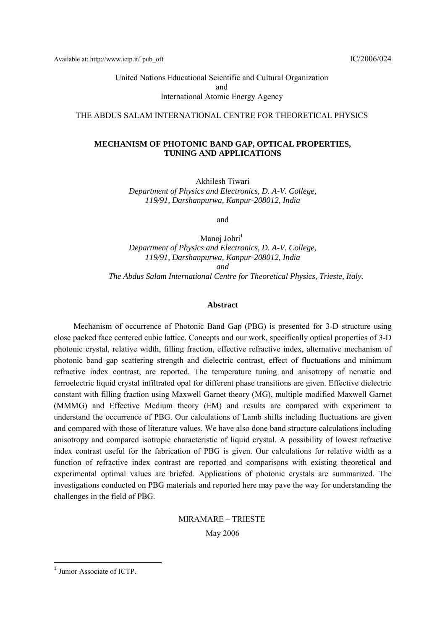Available at: http://www.ictp.it/~pub\_off

pub\_off IC/2006/024

United Nations Educational Scientific and Cultural Organization and International Atomic Energy Agency

THE ABDUS SALAM INTERNATIONAL CENTRE FOR THEORETICAL PHYSICS

#### **MECHANISM OF PHOTONIC BAND GAP, OPTICAL PROPERTIES, TUNING AND APPLICATIONS**

Akhilesh Tiwari

*Department of Physics and Electronics, D. A-V. College, 119/91, Darshanpurwa, Kanpur-208012, India* 

and

Manoj Johri<sup>1</sup> *Department of Physics and Electronics, D. A-V. College, 119/91, Darshanpurwa, Kanpur-208012, India and The Abdus Salam International Centre for Theoretical Physics, Trieste, Italy.* 

#### **Abstract**

Mechanism of occurrence of Photonic Band Gap (PBG) is presented for 3-D structure using close packed face centered cubic lattice. Concepts and our work, specifically optical properties of 3-D photonic crystal, relative width, filling fraction, effective refractive index, alternative mechanism of photonic band gap scattering strength and dielectric contrast, effect of fluctuations and minimum refractive index contrast, are reported. The temperature tuning and anisotropy of nematic and ferroelectric liquid crystal infiltrated opal for different phase transitions are given. Effective dielectric constant with filling fraction using Maxwell Garnet theory (MG), multiple modified Maxwell Garnet (MMMG) and Effective Medium theory (EM) and results are compared with experiment to understand the occurrence of PBG. Our calculations of Lamb shifts including fluctuations are given and compared with those of literature values. We have also done band structure calculations including anisotropy and compared isotropic characteristic of liquid crystal. A possibility of lowest refractive index contrast useful for the fabrication of PBG is given. Our calculations for relative width as a function of refractive index contrast are reported and comparisons with existing theoretical and experimental optimal values are briefed. Applications of photonic crystals are summarized. The investigations conducted on PBG materials and reported here may pave the way for understanding the challenges in the field of PBG.

MIRAMARE – TRIESTE

May 2006

 $\overline{a}$ 

<sup>1</sup> Junior Associate of ICTP.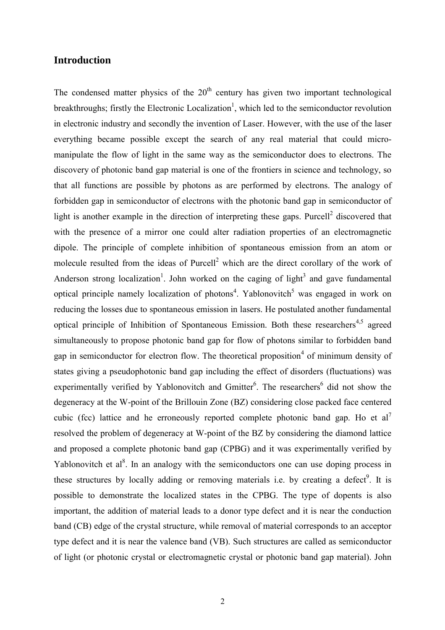## **Introduction**

The condensed matter physics of the  $20<sup>th</sup>$  century has given two important technological breakthroughs; firstly the Electronic Localization<sup>1</sup>, which led to the semiconductor revolution in electronic industry and secondly the invention of Laser. However, with the use of the laser everything became possible except the search of any real material that could micromanipulate the flow of light in the same way as the semiconductor does to electrons. The discovery of photonic band gap material is one of the frontiers in science and technology, so that all functions are possible by photons as are performed by electrons. The analogy of forbidden gap in semiconductor of electrons with the photonic band gap in semiconductor of light is another example in the direction of interpreting these gaps. Purcell<sup>2</sup> discovered that with the presence of a mirror one could alter radiation properties of an electromagnetic dipole. The principle of complete inhibition of spontaneous emission from an atom or molecule resulted from the ideas of Purcell<sup>2</sup> which are the direct corollary of the work of Anderson strong localization<sup>1</sup>. John worked on the caging of light<sup>3</sup> and gave fundamental optical principle namely localization of photons<sup>4</sup>. Yablonovitch<sup>5</sup> was engaged in work on reducing the losses due to spontaneous emission in lasers. He postulated another fundamental optical principle of Inhibition of Spontaneous Emission. Both these researchers<sup>4,5</sup> agreed simultaneously to propose photonic band gap for flow of photons similar to forbidden band gap in semiconductor for electron flow. The theoretical proposition<sup>4</sup> of minimum density of states giving a pseudophotonic band gap including the effect of disorders (fluctuations) was experimentally verified by Yablonovitch and Gmitter $6$ . The researchers $6$  did not show the degeneracy at the W-point of the Brillouin Zone (BZ) considering close packed face centered cubic (fcc) lattice and he erroneously reported complete photonic band gap. Ho et al<sup>7</sup> resolved the problem of degeneracy at W-point of the BZ by considering the diamond lattice and proposed a complete photonic band gap (CPBG) and it was experimentally verified by Yablonovitch et  $al^8$ . In an analogy with the semiconductors one can use doping process in these structures by locally adding or removing materials i.e. by creating a defect<sup>9</sup>. It is possible to demonstrate the localized states in the CPBG. The type of dopents is also important, the addition of material leads to a donor type defect and it is near the conduction band (CB) edge of the crystal structure, while removal of material corresponds to an acceptor type defect and it is near the valence band (VB). Such structures are called as semiconductor of light (or photonic crystal or electromagnetic crystal or photonic band gap material). John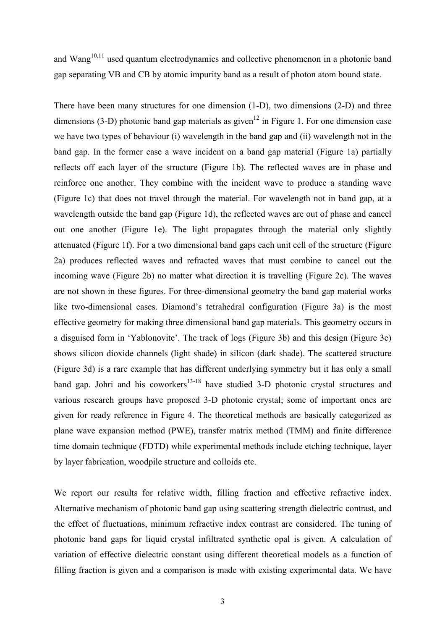and  $Wang<sup>10,11</sup>$  used quantum electrodynamics and collective phenomenon in a photonic band gap separating VB and CB by atomic impurity band as a result of photon atom bound state.

There have been many structures for one dimension (1-D), two dimensions (2-D) and three dimensions (3-D) photonic band gap materials as given<sup>12</sup> in Figure 1. For one dimension case we have two types of behaviour (i) wavelength in the band gap and (ii) wavelength not in the band gap. In the former case a wave incident on a band gap material (Figure 1a) partially reflects off each layer of the structure (Figure 1b). The reflected waves are in phase and reinforce one another. They combine with the incident wave to produce a standing wave (Figure 1c) that does not travel through the material. For wavelength not in band gap, at a wavelength outside the band gap (Figure 1d), the reflected waves are out of phase and cancel out one another (Figure 1e). The light propagates through the material only slightly attenuated (Figure 1f). For a two dimensional band gaps each unit cell of the structure (Figure 2a) produces reflected waves and refracted waves that must combine to cancel out the incoming wave (Figure 2b) no matter what direction it is travelling (Figure 2c). The waves are not shown in these figures. For three-dimensional geometry the band gap material works like two-dimensional cases. Diamond's tetrahedral configuration (Figure 3a) is the most effective geometry for making three dimensional band gap materials. This geometry occurs in a disguised form in 'Yablonovite'. The track of logs (Figure 3b) and this design (Figure 3c) shows silicon dioxide channels (light shade) in silicon (dark shade). The scattered structure (Figure 3d) is a rare example that has different underlying symmetry but it has only a small band gap. Johri and his coworkers<sup>13-18</sup> have studied 3-D photonic crystal structures and various research groups have proposed 3-D photonic crystal; some of important ones are given for ready reference in Figure 4. The theoretical methods are basically categorized as plane wave expansion method (PWE), transfer matrix method (TMM) and finite difference time domain technique (FDTD) while experimental methods include etching technique, layer by layer fabrication, woodpile structure and colloids etc.

We report our results for relative width, filling fraction and effective refractive index. Alternative mechanism of photonic band gap using scattering strength dielectric contrast, and the effect of fluctuations, minimum refractive index contrast are considered. The tuning of photonic band gaps for liquid crystal infiltrated synthetic opal is given. A calculation of variation of effective dielectric constant using different theoretical models as a function of filling fraction is given and a comparison is made with existing experimental data. We have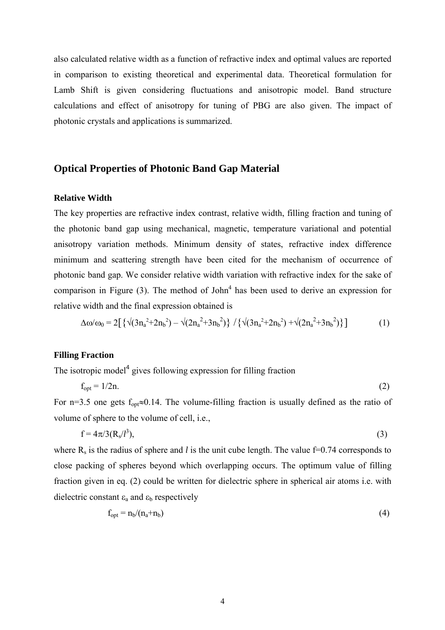also calculated relative width as a function of refractive index and optimal values are reported in comparison to existing theoretical and experimental data. Theoretical formulation for Lamb Shift is given considering fluctuations and anisotropic model. Band structure calculations and effect of anisotropy for tuning of PBG are also given. The impact of photonic crystals and applications is summarized.

### **Optical Properties of Photonic Band Gap Material**

#### **Relative Width**

The key properties are refractive index contrast, relative width, filling fraction and tuning of the photonic band gap using mechanical, magnetic, temperature variational and potential anisotropy variation methods. Minimum density of states, refractive index difference minimum and scattering strength have been cited for the mechanism of occurrence of photonic band gap. We consider relative width variation with refractive index for the sake of comparison in Figure  $(3)$ . The method of John<sup>4</sup> has been used to derive an expression for relative width and the final expression obtained is

$$
\Delta\omega/\omega_0 = 2\left[\left\{\sqrt{(3n_a^2 + 2n_b^2)} - \sqrt{(2n_a^2 + 3n_b^2)}\right\}/\left\{\sqrt{(3n_a^2 + 2n_b^2)} + \sqrt{(2n_a^2 + 3n_b^2)}\right\}\right]
$$
(1)

#### **Filling Fraction**

The isotropic model<sup>4</sup> gives following expression for filling fraction

$$
f_{opt} = 1/2n. \tag{2}
$$

For n=3.5 one gets  $f_{opt} \approx 0.14$ . The volume-filling fraction is usually defined as the ratio of volume of sphere to the volume of cell, i.e.,

$$
f = 4\pi/3(R_s/l^3),\tag{3}
$$

where  $R_s$  is the radius of sphere and *l* is the unit cube length. The value  $f=0.74$  corresponds to close packing of spheres beyond which overlapping occurs. The optimum value of filling fraction given in eq. (2) could be written for dielectric sphere in spherical air atoms i.e. with dielectric constant  $\varepsilon_a$  and  $\varepsilon_b$  respectively

$$
f_{opt} = n_b/(n_a + n_b) \tag{4}
$$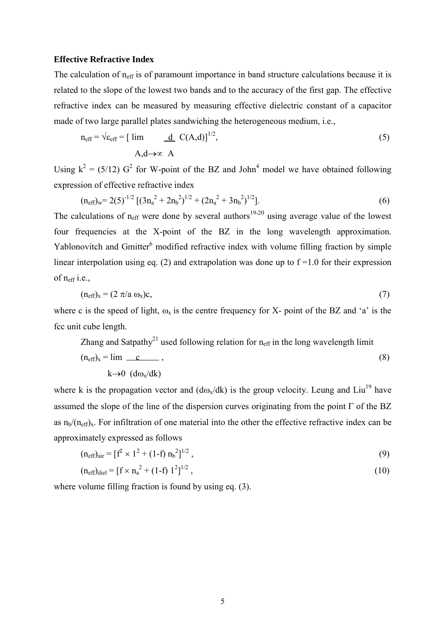#### **Effective Refractive Index**

The calculation of  $n_{\text{eff}}$  is of paramount importance in band structure calculations because it is related to the slope of the lowest two bands and to the accuracy of the first gap. The effective refractive index can be measured by measuring effective dielectric constant of a capacitor made of two large parallel plates sandwiching the heterogeneous medium, i.e.,

$$
n_{\text{eff}} = \sqrt{\varepsilon_{\text{eff}}} = \left[ \lim_{A, d \to \infty} \frac{d}{A} C(A, d) \right]^{1/2},\tag{5}
$$

Using  $k^2 = (5/12) G^2$  for W-point of the BZ and John<sup>4</sup> model we have obtained following expression of effective refractive index

$$
(n_{\rm eff})_w = 2(5)^{-1/2} \left[ (3n_a^2 + 2n_b^2)^{1/2} + (2n_a^2 + 3n_b^2)^{1/2} \right]. \tag{6}
$$

The calculations of  $n_{\text{eff}}$  were done by several authors<sup>19-20</sup> using average value of the lowest four frequencies at the X-point of the BZ in the long wavelength approximation. Yablonovitch and Gmitter<sup>6</sup> modified refractive index with volume filling fraction by simple linear interpolation using eq. (2) and extrapolation was done up to  $f = 1.0$  for their expression of n<sub>eff</sub> i.e.,

$$
(\mathbf{n}_{\rm eff})_{\rm x} = (2 \pi/a \ \omega_{\rm x}) \mathbf{c},\tag{7}
$$

where c is the speed of light,  $\omega_x$  is the centre frequency for X- point of the BZ and 'a' is the fcc unit cube length.

Zhang and Satpathy<sup>21</sup> used following relation for n<sub>eff</sub> in the long wavelength limit  
\n
$$
(n_{eff})_x = \lim_{x \to 0} \underline{c}
$$
, (8)  
\n $k \to 0$  (d $\omega_x$ /dk)

where k is the propagation vector and  $(d\omega_x/dk)$  is the group velocity. Leung and Liu<sup>19</sup> have assumed the slope of the line of the dispersion curves originating from the point Γ of the BZ as  $n_b/(n_{\text{eff}})_{x}$ . For infiltration of one material into the other the effective refractive index can be approximately expressed as follows

$$
(\mathbf{n}_{\rm eff})_{\rm air} = [\mathbf{f}^2 \times 1^2 + (1-\mathbf{f}) \mathbf{n}_{\rm b}^2]^{1/2}, \qquad (9)
$$

$$
(\mathbf{n}_{\rm eff})_{\rm diel} = [\mathbf{f} \times \mathbf{n}_a^2 + (1-\mathbf{f}) \, 1^2]^{1/2} \,, \tag{10}
$$

where volume filling fraction is found by using eq. (3).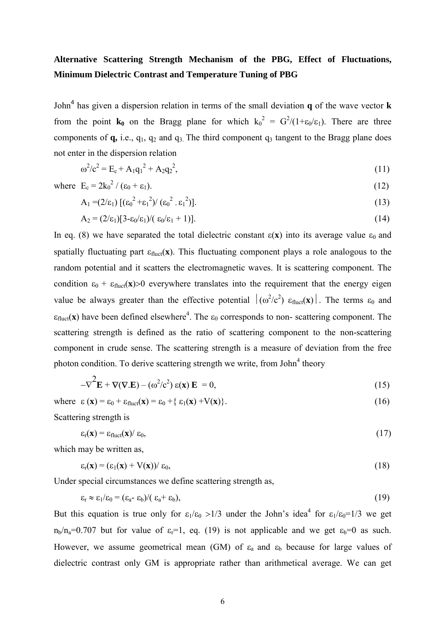# **Alternative Scattering Strength Mechanism of the PBG, Effect of Fluctuations, Minimum Dielectric Contrast and Temperature Tuning of PBG**

John<sup>4</sup> has given a dispersion relation in terms of the small deviation **q** of the wave vector **k**  from the point **k**<sub>0</sub> on the Bragg plane for which  $k_0^2 = G^2/(1+\epsilon_0/\epsilon_1)$ . There are three components of  $q$ , i.e.,  $q_1$ ,  $q_2$  and  $q_3$ . The third component  $q_3$  tangent to the Bragg plane does not enter in the dispersion relation

$$
\omega^2/c^2 = E_c + A_1 q_1^2 + A_2 q_2^2, \tag{11}
$$

where  $E_c = 2k_0^2 / (\varepsilon_0 + \varepsilon_1)$ . (12)

$$
A_1 = (2/\epsilon_1) \left[ (\epsilon_0^2 + \epsilon_1^2) / (\epsilon_0^2 \cdot \epsilon_1^2) \right]. \tag{13}
$$

$$
A_2 = (2/\epsilon_1)[3-\epsilon_0/\epsilon_1]/(\epsilon_0/\epsilon_1+1)].
$$
\n(14)

In eq. (8) we have separated the total dielectric constant  $\varepsilon(x)$  into its average value  $\varepsilon_0$  and spatially fluctuating part  $\varepsilon_{\text{fluct}}(\mathbf{x})$ . This fluctuating component plays a role analogous to the random potential and it scatters the electromagnetic waves. It is scattering component. The condition  $\varepsilon_0$  +  $\varepsilon_{\text{fluct}}(\mathbf{x}) > 0$  everywhere translates into the requirement that the energy eigen value be always greater than the effective potential  $|(\omega^2/c^2) \epsilon_{fluct}(\mathbf{x})|$ . The terms  $\epsilon_0$  and  $\varepsilon_{\text{fluct}}(\mathbf{x})$  have been defined elsewhere<sup>4</sup>. The  $\varepsilon_0$  corresponds to non-scattering component. The scattering strength is defined as the ratio of scattering component to the non-scattering component in crude sense. The scattering strength is a measure of deviation from the free photon condition. To derive scattering strength we write, from John<sup>4</sup> theory

$$
-\nabla^2 \mathbf{E} + \nabla(\nabla \cdot \mathbf{E}) - (\omega^2/c^2) \varepsilon(\mathbf{x}) \mathbf{E} = 0,
$$
\n(15)

where  $\varepsilon$  (**x**) =  $\varepsilon_0$  +  $\varepsilon$ <sub>fluct</sub>(**x**) =  $\varepsilon_0$  + { $\varepsilon_1$ (**x**) + V(**x**)}. (16)

Scattering strength is

$$
\varepsilon_{\rm r}(\mathbf{x}) = \varepsilon_{\rm fluct}(\mathbf{x}) / \varepsilon_0, \tag{17}
$$

which may be written as,

$$
\varepsilon_{r}(\mathbf{x}) = (\varepsilon_{1}(\mathbf{x}) + V(\mathbf{x})) / \varepsilon_{0}, \qquad (18)
$$

Under special circumstances we define scattering strength as,

$$
\varepsilon_{\rm r} \approx \varepsilon_1/\varepsilon_0 = (\varepsilon_{\rm a} - \varepsilon_{\rm b})/(\varepsilon_{\rm a} + \varepsilon_{\rm b}),\tag{19}
$$

But this equation is true only for  $\varepsilon_1/\varepsilon_0 > 1/3$  under the John's idea<sup>4</sup> for  $\varepsilon_1/\varepsilon_0 = 1/3$  we get  $n_b/n_a=0.707$  but for value of  $\epsilon_r=1$ , eq. (19) is not applicable and we get  $\epsilon_b=0$  as such. However, we assume geometrical mean (GM) of  $\varepsilon_a$  and  $\varepsilon_b$  because for large values of dielectric contrast only GM is appropriate rather than arithmetical average. We can get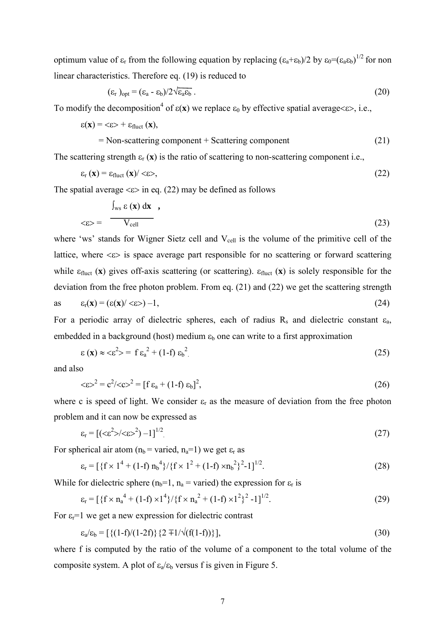optimum value of  $\varepsilon_r$  from the following equation by replacing  $(\varepsilon_a + \varepsilon_b)/2$  by  $\varepsilon_0 = (\varepsilon_a \varepsilon_b)^{1/2}$  for non linear characteristics. Therefore eq. (19) is reduced to

$$
(\varepsilon_{\rm r})_{\rm opt} = (\varepsilon_{\rm a} - \varepsilon_{\rm b})/2\sqrt{\varepsilon_{\rm a}\varepsilon_{\rm b}}\,. \tag{20}
$$

To modify the decomposition<sup>4</sup> of  $\varepsilon(\mathbf{x})$  we replace  $\varepsilon_0$  by effective spatial average $\ll \varepsilon$ , i.e.,

$$
\varepsilon(\mathbf{x}) = \langle \varepsilon \rangle + \varepsilon_{\text{fluct}}(\mathbf{x}),
$$

$$
= Non-scattering component + Scattering component
$$
\n
$$
(21)
$$

The scattering strength  $\varepsilon_r$  (**x**) is the ratio of scattering to non-scattering component i.e.,

$$
\varepsilon_{\rm r}(\mathbf{x}) = \varepsilon_{\rm fluct}(\mathbf{x}) / \langle \varepsilon \rangle, \tag{22}
$$

The spatial average  $\langle \epsilon \rangle$  in eq. (22) may be defined as follows

$$
\langle \varepsilon \rangle = \frac{\int_{\text{ws}} \varepsilon(\mathbf{x}) d\mathbf{x}}{V_{\text{cell}}} \tag{23}
$$

where 'ws' stands for Wigner Sietz cell and  $V_{cell}$  is the volume of the primitive cell of the lattice, where <ε> is space average part responsible for no scattering or forward scattering while  $\varepsilon_{\text{fluct}}(x)$  gives off-axis scattering (or scattering).  $\varepsilon_{\text{fluct}}(x)$  is solely responsible for the deviation from the free photon problem. From eq. (21) and (22) we get the scattering strength as  $\varepsilon_r(\mathbf{x}) = (\varepsilon(\mathbf{x}) / \langle \varepsilon \rangle) - 1,$  (24)

For a periodic array of dielectric spheres, each of radius  $R_s$  and dielectric constant  $\varepsilon_a$ , embedded in a background (host) medium  $\varepsilon_b$  one can write to a first approximation

$$
\varepsilon(\mathbf{x}) \approx \langle \varepsilon^2 \rangle = \mathbf{f} \, \varepsilon_a^2 + (1 - \mathbf{f}) \, \varepsilon_b^2 \tag{25}
$$

and also

$$
\langle \varepsilon \rangle^2 = c^2 / \langle c \rangle^2 = [f \varepsilon_a + (1-f) \varepsilon_b]^2,
$$
\n(26)

where c is speed of light. We consider  $\varepsilon_r$  as the measure of deviation from the free photon problem and it can now be expressed as

$$
\varepsilon_{\rm r} = \left[ \left( \langle \varepsilon^2 \rangle / \langle \varepsilon \rangle^2 \right) - 1 \right]^{1/2} \tag{27}
$$

For spherical air atom ( $n_b$  = varied,  $n_a$ =1) we get  $\varepsilon_r$  as

$$
\varepsilon_{\rm r} = \left[ \left\{ \left\{ f \times 1^4 + (1 - f) \, n_{\rm b}^4 \right\} / \left\{ f \times 1^2 + (1 - f) \, x n_{\rm b}^2 \right\}^2 - 1 \right\}^{1/2} . \right] \tag{28}
$$

While for dielectric sphere ( $n_b=1$ ,  $n_a$  = varied) the expression for  $\varepsilon_r$  is

$$
\varepsilon_{\rm r} = \left[ \{ \mathbf{f} \times \mathbf{n}_{\rm a}^4 + (1-\mathbf{f}) \times \mathbf{1}^4 \} / \{ \mathbf{f} \times \mathbf{n}_{\rm a}^2 + (1-\mathbf{f}) \times \mathbf{1}^2 \}^2 - 1 \right]^{1/2} . \tag{29}
$$

For  $\varepsilon_r=1$  we get a new expression for dielectric contrast

$$
\varepsilon_a/\varepsilon_b = [\{(1-f)/(1-2f)\}\{2\mp 1/\sqrt{(f(1-f))}\}],\tag{30}
$$

where f is computed by the ratio of the volume of a component to the total volume of the composite system. A plot of  $\varepsilon_a/\varepsilon_b$  versus f is given in Figure 5.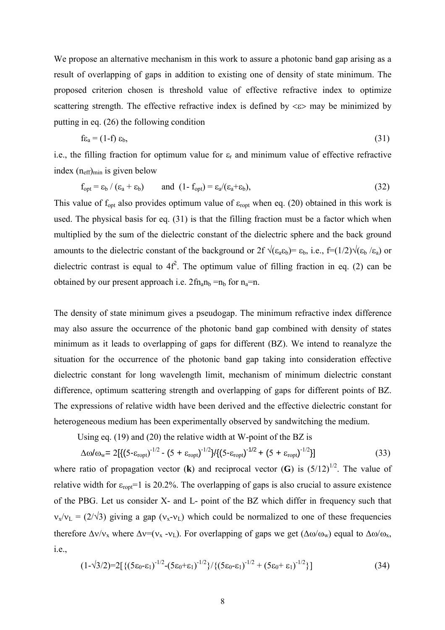We propose an alternative mechanism in this work to assure a photonic band gap arising as a result of overlapping of gaps in addition to existing one of density of state minimum. The proposed criterion chosen is threshold value of effective refractive index to optimize scattering strength. The effective refractive index is defined by  $\langle \epsilon \rangle$  may be minimized by putting in eq. (26) the following condition

$$
f\epsilon_a = (1-f)\epsilon_b,\tag{31}
$$

i.e., the filling fraction for optimum value for  $\varepsilon_r$  and minimum value of effective refractive index  $(n_{\text{eff}})_{\text{min}}$  is given below

$$
f_{opt} = \varepsilon_b / (\varepsilon_a + \varepsilon_b) \qquad \text{and} \quad (1 - f_{opt}) = \varepsilon_a / (\varepsilon_a + \varepsilon_b), \tag{32}
$$

This value of  $f_{opt}$  also provides optimum value of  $\varepsilon_{root}$  when eq. (20) obtained in this work is used. The physical basis for eq. (31) is that the filling fraction must be a factor which when multiplied by the sum of the dielectric constant of the dielectric sphere and the back ground amounts to the dielectric constant of the background or 2f  $\sqrt{(\epsilon_a \epsilon_b)} = \epsilon_b$ , i.e.,  $f=(1/2)\sqrt{(\epsilon_b/\epsilon_a)}$  or dielectric contrast is equal to  $4f^2$ . The optimum value of filling fraction in eq. (2) can be obtained by our present approach i.e.  $2fn<sub>a</sub>n<sub>b</sub> = n<sub>b</sub>$  for  $n<sub>a</sub>=n$ .

The density of state minimum gives a pseudogap. The minimum refractive index difference may also assure the occurrence of the photonic band gap combined with density of states minimum as it leads to overlapping of gaps for different (BZ). We intend to reanalyze the situation for the occurrence of the photonic band gap taking into consideration effective dielectric constant for long wavelength limit, mechanism of minimum dielectric constant difference, optimum scattering strength and overlapping of gaps for different points of BZ. The expressions of relative width have been derived and the effective dielectric constant for heterogeneous medium has been experimentally observed by sandwitching the medium.

Using eq. (19) and (20) the relative width at W-point of the BZ is

$$
\Delta\omega/\omega_{\rm w} = 2[\{ (5 - \varepsilon_{\rm ropt})^{-1/2} - (5 + \varepsilon_{\rm ropt})^{-1/2} \} / \{ (5 - \varepsilon_{\rm ropt})^{-1/2} + (5 + \varepsilon_{\rm ropt})^{-1/2} \}]
$$
(33)

where ratio of propagation vector  $(k)$  and reciprocal vector  $(G)$  is  $(5/12)^{1/2}$ . The value of relative width for  $\varepsilon_{\text{ropt}}$ =1 is 20.2%. The overlapping of gaps is also crucial to assure existence of the PBG. Let us consider X- and L- point of the BZ which differ in frequency such that  $v_x/v_L = (2/\sqrt{3})$  giving a gap  $(v_x-v_L)$  which could be normalized to one of these frequencies therefore  $\Delta v/v_x$  where  $\Delta v=(v_x - v_L)$ . For overlapping of gaps we get  $(\Delta \omega/\omega_w)$  equal to  $\Delta \omega/\omega_x$ , i.e.,

$$
(1-\sqrt{3}/2)=2[\{(5\epsilon_0-\epsilon_1)^{-1/2}-(5\epsilon_0+\epsilon_1)^{-1/2}\}/\{(5\epsilon_0-\epsilon_1)^{-1/2}+(5\epsilon_0+\epsilon_1)^{-1/2}\}]
$$
\n(34)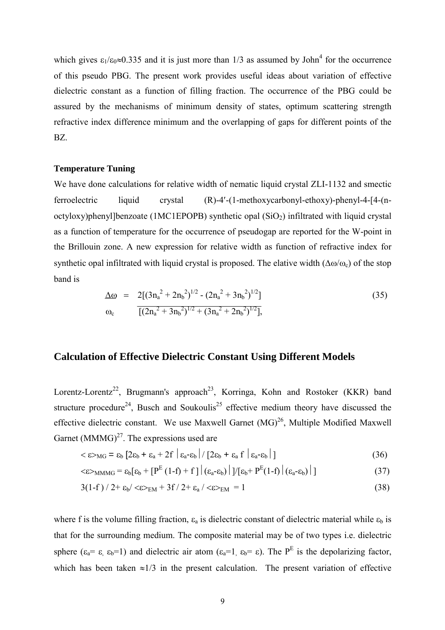which gives  $\epsilon_1/\epsilon_0 \approx 0.335$  and it is just more than 1/3 as assumed by John<sup>4</sup> for the occurrence of this pseudo PBG. The present work provides useful ideas about variation of effective dielectric constant as a function of filling fraction. The occurrence of the PBG could be assured by the mechanisms of minimum density of states, optimum scattering strength refractive index difference minimum and the overlapping of gaps for different points of the BZ.

#### **Temperature Tuning**

We have done calculations for relative width of nematic liquid crystal ZLI-1132 and smectic ferroelectric liquid crystal (R)-4′-(1-methoxycarbonyl-ethoxy)-phenyl-4-[4-(noctyloxy)phenyl]benzoate (1MC1EPOPB) synthetic opal  $(SiO<sub>2</sub>)$  infiltrated with liquid crystal as a function of temperature for the occurrence of pseudogap are reported for the W-point in the Brillouin zone. A new expression for relative width as function of refractive index for synthetic opal infiltrated with liquid crystal is proposed. The elative width  $(\Delta\omega/\omega_c)$  of the stop band is

$$
\Delta \omega = 2[(3n_a^2 + 2n_b^2)^{1/2} - (2n_a^2 + 3n_b^2)^{1/2}]
$$
  
\n
$$
\omega_c = \frac{2[(2n_a^2 + 3n_b^2)^{1/2} + (3n_a^2 + 2n_b^2)^{1/2}]}{[(2n_a^2 + 3n_b^2)^{1/2} + (3n_a^2 + 2n_b^2)^{1/2}]}
$$
\n(35)

## **Calculation of Effective Dielectric Constant Using Different Models**

Lorentz-Lorentz<sup>22</sup>, Brugmann's approach<sup>23</sup>, Korringa, Kohn and Rostoker (KKR) band structure procedure<sup>24</sup>. Busch and Soukoulis<sup>25</sup> effective medium theory have discussed the effective dielectric constant. We use Maxwell Garnet  $(MG)^{26}$ , Multiple Modified Maxwell Garnet  $(MMMG)^{27}$ . The expressions used are

$$
\langle \varepsilon \rangle_{\text{MG}} = \varepsilon_{\text{b}} \left[ 2\varepsilon_{\text{b}} + \varepsilon_{\text{a}} + 2f \, \left| \varepsilon_{\text{a}} - \varepsilon_{\text{b}} \right| / \left[ 2\varepsilon_{\text{b}} + \varepsilon_{\text{a}} f \, \left| \varepsilon_{\text{a}} - \varepsilon_{\text{b}} \right| \right] \right] \tag{36}
$$

$$
\langle \varepsilon \rangle_{\text{MMMG}} = \varepsilon_b [\varepsilon_b + [P^E (1-f) + f]] (\varepsilon_a - \varepsilon_b) |]/[\varepsilon_b + P^E (1-f)] (\varepsilon_a - \varepsilon_b) | ] \tag{37}
$$

$$
3(1-f)/2+\epsilon_b/\langle \epsilon \rangle_{EM}+3f/2+\epsilon_a/\langle \epsilon \rangle_{EM}=1
$$
\n(38)

where f is the volume filling fraction,  $\varepsilon_a$  is dielectric constant of dielectric material while  $\varepsilon_b$  is that for the surrounding medium. The composite material may be of two types i.e. dielectric sphere  $(\epsilon_a = \epsilon, \epsilon_b = 1)$  and dielectric air atom  $(\epsilon_a = 1, \epsilon_b = \epsilon)$ . The P<sup>E</sup> is the depolarizing factor, which has been taken  $\approx 1/3$  in the present calculation. The present variation of effective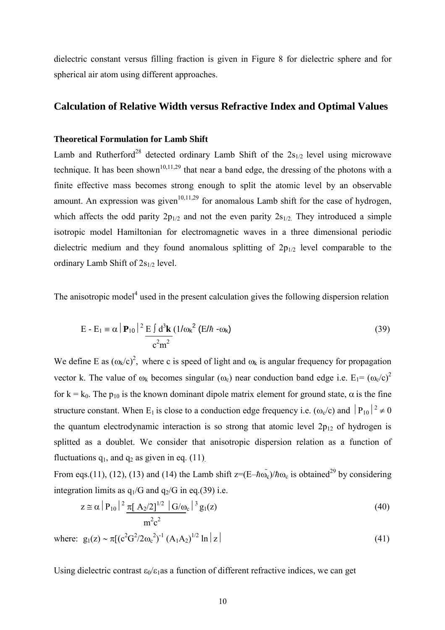dielectric constant versus filling fraction is given in Figure 8 for dielectric sphere and for spherical air atom using different approaches.

### **Calculation of Relative Width versus Refractive Index and Optimal Values**

#### **Theoretical Formulation for Lamb Shift**

Lamb and Rutherford<sup>28</sup> detected ordinary Lamb Shift of the  $2s_{1/2}$  level using microwave technique. It has been shown<sup>10,11,29</sup> that near a band edge, the dressing of the photons with a finite effective mass becomes strong enough to split the atomic level by an observable amount. An expression was given<sup>10,11,29</sup> for anomalous Lamb shift for the case of hydrogen, which affects the odd parity  $2p_{1/2}$  and not the even parity  $2s_{1/2}$ . They introduced a simple isotropic model Hamiltonian for electromagnetic waves in a three dimensional periodic dielectric medium and they found anomalous splitting of  $2p_{1/2}$  level comparable to the ordinary Lamb Shift of  $2s_{1/2}$  level.

The anisotropic model<sup>4</sup> used in the present calculation gives the following dispersion relation

$$
E - E_1 \equiv \alpha \left| P_{10} \right|^2 \frac{E \int d^3 \mathbf{k}}{c^2 m^2} (1/\omega_k^2 \left( E/\hbar - \omega_k \right)) \tag{39}
$$

We define E as  $(\omega_k/c)^2$ , where c is speed of light and  $\omega_k$  is angular frequency for propagation vector k. The value of  $\omega_k$  becomes singular ( $\omega_c$ ) near conduction band edge i.e. E<sub>1</sub>= ( $\omega_c/c$ )<sup>2</sup> for  $k = k_0$ . The  $p_{10}$  is the known dominant dipole matrix element for ground state,  $\alpha$  is the fine structure constant. When E<sub>1</sub> is close to a conduction edge frequency i.e. ( $\omega_c/c$ ) and  $|P_{10}|^2 \neq 0$ the quantum electrodynamic interaction is so strong that atomic level  $2p_{12}$  of hydrogen is splitted as a doublet. We consider that anisotropic dispersion relation as a function of fluctuations  $q_1$ , and  $q_2$  as given in eq. (11).

From eqs.(11), (12), (13) and (14) the Lamb shift  $z=(E-\hbar\tilde{\omega_c})/\hbar\omega_c$  is obtained<sup>29</sup> by considering integration limits as  $q_1/G$  and  $q_2/G$  in eq.(39) i.e.

$$
z \approx \alpha |P_{10}|^2 \frac{\pi [A_2/2]^{1/2} |G/\omega_c|^3 g_1(z)}{m^2 c^2}
$$
 (40)

where:  $g_1(z) \sim \pi [(c^2 G^2 / 2 \omega_c^2)^{-1} (A_1 A_2)^{1/2} \ln |z|$  (41)

Using dielectric contrast  $\varepsilon_0/\varepsilon_1$  as a function of different refractive indices, we can get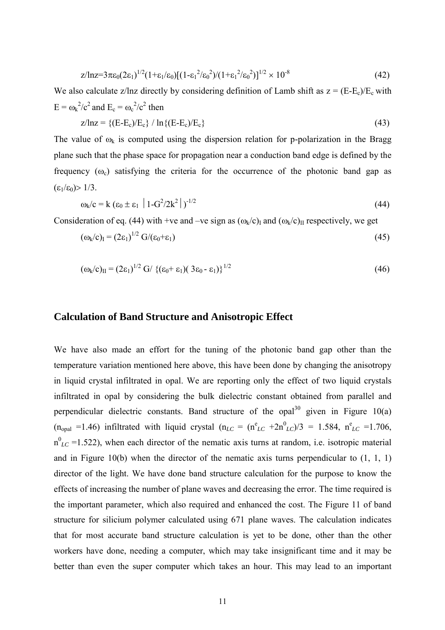$$
z/\ln z = 3\pi \varepsilon_0 (2\varepsilon_1)^{1/2} (1+\varepsilon_1/\varepsilon_0) [(1-\varepsilon_1^2/\varepsilon_0^2)/(1+\varepsilon_1^2/\varepsilon_0^2)]^{1/2} \times 10^{-8}
$$
\n(42)

We also calculate z/lnz directly by considering definition of Lamb shift as  $z = (E-E_c)/E_c$  with  $E = \omega_k^2/c^2$  and  $E_c = \omega_c^2/c^2$  then

$$
z/nz = \{ (E-E_c)/E_c \} / ln\{ (E-E_c)/E_c \}
$$
\n
$$
(43)
$$

The value of  $\omega_k$  is computed using the dispersion relation for p-polarization in the Bragg plane such that the phase space for propagation near a conduction band edge is defined by the frequency  $(\omega_c)$  satisfying the criteria for the occurrence of the photonic band gap as  $(\epsilon_1/\epsilon_0)$  > 1/3.

$$
\omega_{\mathbf{k}}/\mathbf{c} = \mathbf{k} \left( \varepsilon_0 \pm \varepsilon_1 \left| 1 - G^2 / 2 \mathbf{k}^2 \right| \right)^{-1/2} \tag{44}
$$

Consideration of eq. (44) with +ve and –ve sign as  $(\omega_k/c)$  and  $(\omega_k/c)$ <sub>II</sub> respectively, we get

$$
(\omega_{\mathbf{k}}/\mathbf{c})_{\mathbf{I}} = (2\epsilon_1)^{1/2} \mathbf{G}/(\epsilon_0 + \epsilon_1)
$$
\n(45)

$$
(\omega_{\mathbf{k}}/\mathbf{c})_{\mathbf{II}} = (2\epsilon_1)^{1/2} \mathbf{G} / \left\{ (\epsilon_0 + \epsilon_1)(3\epsilon_0 - \epsilon_1) \right\}^{1/2}
$$
 (46)

### **Calculation of Band Structure and Anisotropic Effect**

We have also made an effort for the tuning of the photonic band gap other than the temperature variation mentioned here above, this have been done by changing the anisotropy in liquid crystal infiltrated in opal. We are reporting only the effect of two liquid crystals infiltrated in opal by considering the bulk dielectric constant obtained from parallel and perpendicular dielectric constants. Band structure of the opal<sup>30</sup> given in Figure 10(a)  $(n_{\text{opal}} = 1.46)$  infiltrated with liquid crystal  $(n_{LC} = (n_{LC}^e + 2n_{LC}^0)/3 = 1.584, n_{LC}^e = 1.706,$  $n_{LC}^0$  =1.522), when each director of the nematic axis turns at random, i.e. isotropic material and in Figure 10(b) when the director of the nematic axis turns perpendicular to  $(1, 1, 1)$ director of the light. We have done band structure calculation for the purpose to know the effects of increasing the number of plane waves and decreasing the error. The time required is the important parameter, which also required and enhanced the cost. The Figure 11 of band structure for silicium polymer calculated using 671 plane waves. The calculation indicates that for most accurate band structure calculation is yet to be done, other than the other workers have done, needing a computer, which may take insignificant time and it may be better than even the super computer which takes an hour. This may lead to an important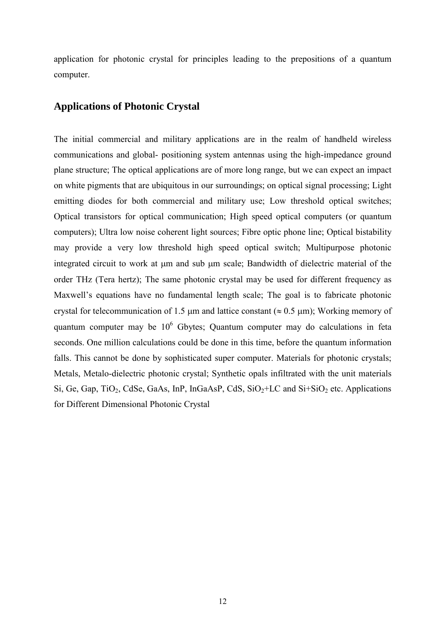application for photonic crystal for principles leading to the prepositions of a quantum computer.

### **Applications of Photonic Crystal**

The initial commercial and military applications are in the realm of handheld wireless communications and global- positioning system antennas using the high-impedance ground plane structure; The optical applications are of more long range, but we can expect an impact on white pigments that are ubiquitous in our surroundings; on optical signal processing; Light emitting diodes for both commercial and military use; Low threshold optical switches; Optical transistors for optical communication; High speed optical computers (or quantum computers); Ultra low noise coherent light sources; Fibre optic phone line; Optical bistability may provide a very low threshold high speed optical switch; Multipurpose photonic integrated circuit to work at  $\mu$ m and sub  $\mu$ m scale; Bandwidth of dielectric material of the order THz (Tera hertz); The same photonic crystal may be used for different frequency as Maxwell's equations have no fundamental length scale; The goal is to fabricate photonic crystal for telecommunication of 1.5  $\mu$ m and lattice constant ( $\approx 0.5 \mu$ m); Working memory of quantum computer may be  $10^6$  Gbytes; Quantum computer may do calculations in feta seconds. One million calculations could be done in this time, before the quantum information falls. This cannot be done by sophisticated super computer. Materials for photonic crystals; Metals, Metalo-dielectric photonic crystal; Synthetic opals infiltrated with the unit materials Si, Ge, Gap, TiO<sub>2</sub>, CdSe, GaAs, InP, InGaAsP, CdS,  $SiO_2+LC$  and  $Si+SiO_2$  etc. Applications for Different Dimensional Photonic Crystal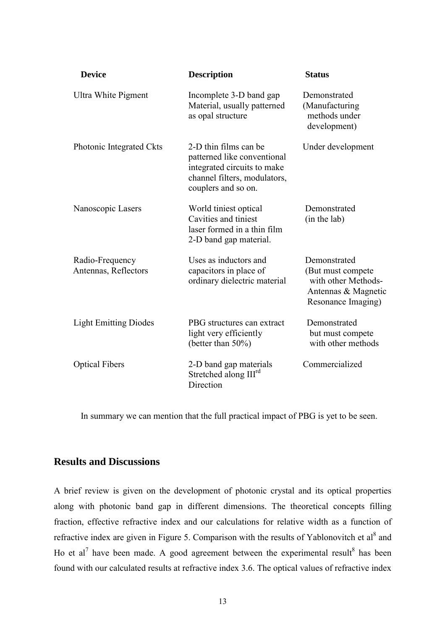| <b>Device</b>                           | <b>Description</b>                                                                                                                         | <b>Status</b>                                                                                          |
|-----------------------------------------|--------------------------------------------------------------------------------------------------------------------------------------------|--------------------------------------------------------------------------------------------------------|
| Ultra White Pigment                     | Incomplete 3-D band gap<br>Material, usually patterned<br>as opal structure                                                                | Demonstrated<br>(Manufacturing<br>methods under<br>development)                                        |
| Photonic Integrated Ckts                | 2-D thin films can be<br>patterned like conventional<br>integrated circuits to make<br>channel filters, modulators,<br>couplers and so on. | Under development                                                                                      |
| Nanoscopic Lasers                       | World tiniest optical<br>Cavities and tiniest<br>laser formed in a thin film<br>2-D band gap material.                                     | Demonstrated<br>(in the lab)                                                                           |
| Radio-Frequency<br>Antennas, Reflectors | Uses as inductors and<br>capacitors in place of<br>ordinary dielectric material                                                            | Demonstrated<br>(But must compete)<br>with other Methods-<br>Antennas & Magnetic<br>Resonance Imaging) |
| <b>Light Emitting Diodes</b>            | PBG structures can extract<br>light very efficiently<br>(better than $50\%$ )                                                              | Demonstrated<br>but must compete<br>with other methods                                                 |
| <b>Optical Fibers</b>                   | 2-D band gap materials<br>Stretched along III <sup>rd</sup><br>Direction                                                                   | Commercialized                                                                                         |

In summary we can mention that the full practical impact of PBG is yet to be seen.

# **Results and Discussions**

A brief review is given on the development of photonic crystal and its optical properties along with photonic band gap in different dimensions. The theoretical concepts filling fraction, effective refractive index and our calculations for relative width as a function of refractive index are given in Figure 5. Comparison with the results of Yablonovitch et al<sup>8</sup> and Ho et al<sup>7</sup> have been made. A good agreement between the experimental result<sup>8</sup> has been found with our calculated results at refractive index 3.6. The optical values of refractive index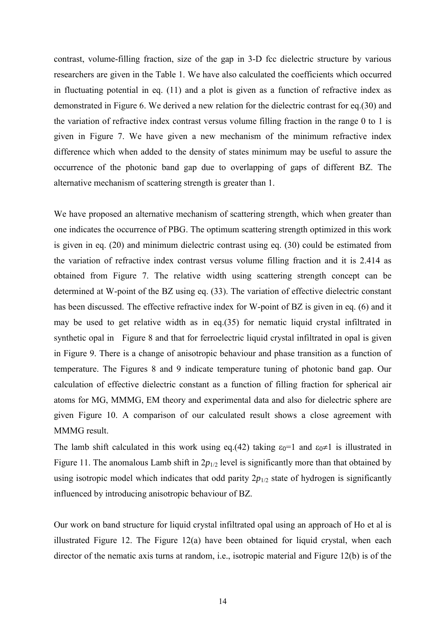contrast, volume-filling fraction, size of the gap in 3-D fcc dielectric structure by various researchers are given in the Table 1. We have also calculated the coefficients which occurred in fluctuating potential in eq. (11) and a plot is given as a function of refractive index as demonstrated in Figure 6. We derived a new relation for the dielectric contrast for eq.(30) and the variation of refractive index contrast versus volume filling fraction in the range 0 to 1 is given in Figure 7. We have given a new mechanism of the minimum refractive index difference which when added to the density of states minimum may be useful to assure the occurrence of the photonic band gap due to overlapping of gaps of different BZ. The alternative mechanism of scattering strength is greater than 1.

We have proposed an alternative mechanism of scattering strength, which when greater than one indicates the occurrence of PBG. The optimum scattering strength optimized in this work is given in eq. (20) and minimum dielectric contrast using eq. (30) could be estimated from the variation of refractive index contrast versus volume filling fraction and it is 2.414 as obtained from Figure 7. The relative width using scattering strength concept can be determined at W-point of the BZ using eq. (33). The variation of effective dielectric constant has been discussed. The effective refractive index for W-point of BZ is given in eq. (6) and it may be used to get relative width as in eq.(35) for nematic liquid crystal infiltrated in synthetic opal in Figure 8 and that for ferroelectric liquid crystal infiltrated in opal is given in Figure 9. There is a change of anisotropic behaviour and phase transition as a function of temperature. The Figures 8 and 9 indicate temperature tuning of photonic band gap. Our calculation of effective dielectric constant as a function of filling fraction for spherical air atoms for MG, MMMG, EM theory and experimental data and also for dielectric sphere are given Figure 10. A comparison of our calculated result shows a close agreement with MMMG result.

The lamb shift calculated in this work using eq.(42) taking  $\varepsilon_0=1$  and  $\varepsilon_0\neq 1$  is illustrated in Figure 11. The anomalous Lamb shift in  $2p_{1/2}$  level is significantly more than that obtained by using isotropic model which indicates that odd parity  $2p_{1/2}$  state of hydrogen is significantly influenced by introducing anisotropic behaviour of BZ.

Our work on band structure for liquid crystal infiltrated opal using an approach of Ho et al is illustrated Figure 12. The Figure  $12(a)$  have been obtained for liquid crystal, when each director of the nematic axis turns at random, i.e., isotropic material and Figure 12(b) is of the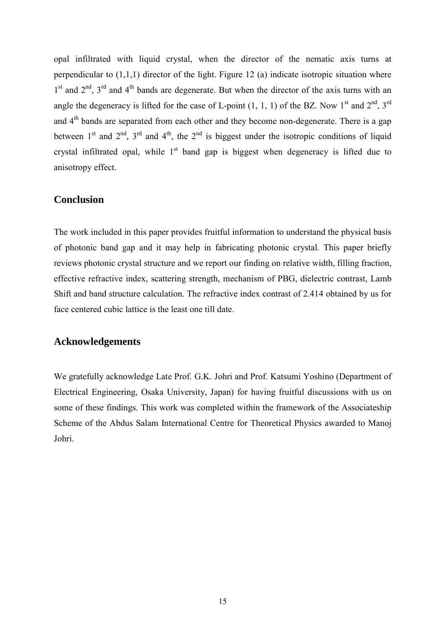opal infiltrated with liquid crystal, when the director of the nematic axis turns at perpendicular to (1,1,1) director of the light. Figure 12 (a) indicate isotropic situation where  $1<sup>st</sup>$  and  $2<sup>nd</sup>$ ,  $3<sup>rd</sup>$  and  $4<sup>th</sup>$  bands are degenerate. But when the director of the axis turns with an angle the degeneracy is lifted for the case of L-point  $(1, 1, 1)$  of the BZ. Now 1<sup>st</sup> and  $2<sup>nd</sup>$ , 3<sup>rd</sup> and 4<sup>th</sup> bands are separated from each other and they become non-degenerate. There is a gap between  $1^{st}$  and  $2^{nd}$ ,  $3^{rd}$  and  $4^{th}$ , the  $2^{nd}$  is biggest under the isotropic conditions of liquid crystal infiltrated opal, while  $1<sup>st</sup>$  band gap is biggest when degeneracy is lifted due to anisotropy effect.

#### **Conclusion**

The work included in this paper provides fruitful information to understand the physical basis of photonic band gap and it may help in fabricating photonic crystal. This paper briefly reviews photonic crystal structure and we report our finding on relative width, filling fraction, effective refractive index, scattering strength, mechanism of PBG, dielectric contrast, Lamb Shift and band structure calculation. The refractive index contrast of 2.414 obtained by us for face centered cubic lattice is the least one till date.

# **Acknowledgements**

We gratefully acknowledge Late Prof. G.K. Johri and Prof. Katsumi Yoshino (Department of Electrical Engineering, Osaka University, Japan) for having fruitful discussions with us on some of these findings. This work was completed within the framework of the Associateship Scheme of the Abdus Salam International Centre for Theoretical Physics awarded to Manoj Johri.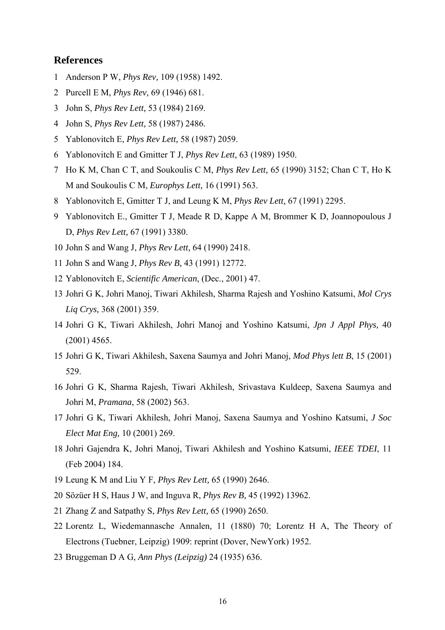### **References**

- 1 Anderson P W, *Phys Rev,* 109 (1958) 1492.
- 2 Purcell E M, *Phys Rev,* 69 (1946) 681.
- 3 John S, *Phys Rev Lett,* 53 (1984) 2169.
- 4 John S, *Phys Rev Lett,* 58 (1987) 2486.
- 5 Yablonovitch E, *Phys Rev Lett,* 58 (1987) 2059.
- 6 Yablonovitch E and Gmitter T J, *Phys Rev Lett,* 63 (1989) 1950.
- 7 Ho K M, Chan C T, and Soukoulis C M, *Phys Rev Lett,* 65 (1990) 3152; Chan C T, Ho K M and Soukoulis C M, *Europhys Lett,* 16 (1991) 563.
- 8 Yablonovitch E, Gmitter T J, and Leung K M, *Phys Rev Lett,* 67 (1991) 2295.
- 9 Yablonovitch E., Gmitter T J, Meade R D, Kappe A M, Brommer K D, Joannopoulous J D, *Phys Rev Lett,* 67 (1991) 3380.
- 10 John S and Wang J, *Phys Rev Lett,* 64 (1990) 2418.
- 11 John S and Wang J, *Phys Rev B,* 43 (1991) 12772.
- 12 Yablonovitch E, *Scientific American*, (Dec., 2001) 47.
- 13 Johri G K, Johri Manoj, Tiwari Akhilesh, Sharma Rajesh and Yoshino Katsumi, *Mol Crys Liq Crys,* 368 (2001) 359.
- 14 Johri G K, Tiwari Akhilesh, Johri Manoj and Yoshino Katsumi, *Jpn J Appl Phys,* 40 (2001) 4565.
- 15 Johri G K, Tiwari Akhilesh, Saxena Saumya and Johri Manoj, *Mod Phys lett B*, 15 (2001) 529.
- 16 Johri G K, Sharma Rajesh, Tiwari Akhilesh, Srivastava Kuldeep, Saxena Saumya and Johri M, *Pramana*, 58 (2002) 563.
- 17 Johri G K, Tiwari Akhilesh, Johri Manoj, Saxena Saumya and Yoshino Katsumi, *J Soc Elect Mat Eng,* 10 (2001) 269.
- 18 Johri Gajendra K, Johri Manoj, Tiwari Akhilesh and Yoshino Katsumi, *IEEE TDEI*, 11 (Feb 2004) 184.
- 19 Leung K M and Liu Y F, *Phys Rev Lett,* 65 (1990) 2646.
- 20 Sözüer H S, Haus J W, and Inguva R, *Phys Rev B,* 45 (1992) 13962.
- 21 Zhang Z and Satpathy S, *Phys Rev Lett,* 65 (1990) 2650.
- 22 Lorentz L, Wiedemannasche Annalen*,* 11 (1880) 70; Lorentz H A, The Theory of Electrons (Tuebner, Leipzig) 1909: reprint (Dover, NewYork) 1952.
- 23 Bruggeman D A G, *Ann Phys (Leipzig)* 24 (1935) 636.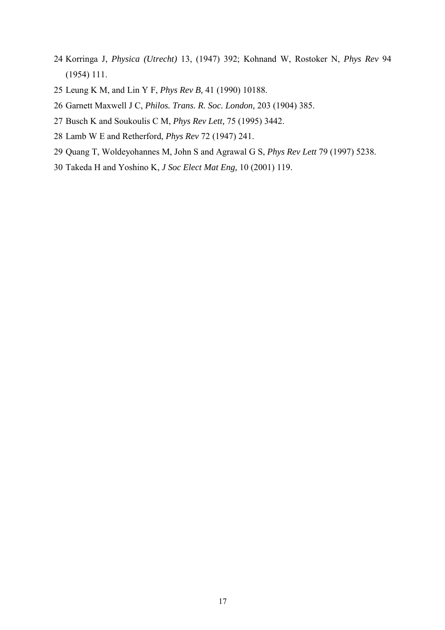- 24 Korringa J, *Physica (Utrecht)* 13, (1947) 392; Kohnand W, Rostoker N, *Phys Rev* 94 (1954) 111.
- 25 Leung K M, and Lin Y F, *Phys Rev B,* 41 (1990) 10188.
- 26 Garnett Maxwell J C, *Philos. Trans. R. Soc. London,* 203 (1904) 385.
- 27 Busch K and Soukoulis C M, *Phys Rev Lett,* 75 (1995) 3442.
- 28 Lamb W E and Retherford, *Phys Rev* 72 (1947) 241.
- 29 Quang T, Woldeyohannes M, John S and Agrawal G S, *Phys Rev Lett* 79 (1997) 5238.
- 30 Takeda H and Yoshino K, *J Soc Elect Mat Eng,* 10 (2001) 119.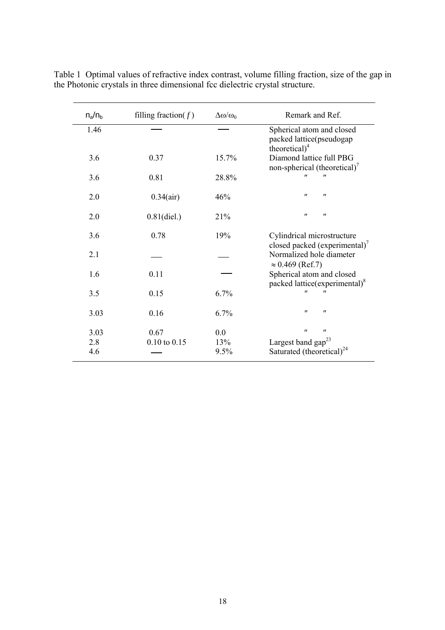| $n_a/n_b$ | filling fraction( $f$ ) | $\Delta\omega/\omega_0$ | Remark and Ref.                                                            |
|-----------|-------------------------|-------------------------|----------------------------------------------------------------------------|
| 1.46      |                         |                         | Spherical atom and closed<br>packed lattice(pseudogap<br>theoretical $)^4$ |
| 3.6       | 0.37                    | 15.7%                   | Diamond lattice full PBG<br>non-spherical (theoretical) <sup>7</sup>       |
| 3.6       | 0.81                    | 28.8%                   |                                                                            |
| 2.0       | 0.34(i)                 | 46%                     | $^{\prime\prime}$<br>$^{\prime\prime}$                                     |
| 2.0       | $0.81$ (diel.)          | 21%                     | $^{\prime\prime}$<br>$^{\prime\prime}$                                     |
| 3.6       | 0.78                    | 19%                     | Cylindrical microstructure<br>closed packed (experimental) <sup>7</sup>    |
| 2.1       |                         |                         | Normalized hole diameter<br>$\approx 0.469$ (Ref.7)                        |
| 1.6       | 0.11                    |                         | Spherical atom and closed<br>packed lattice(experimental) <sup>8</sup>     |
| 3.5       | 0.15                    | 6.7%                    |                                                                            |
| 3.03      | 0.16                    | 6.7%                    | $^{\prime\prime}$<br>$^{\prime\prime}$                                     |
| 3.03      | 0.67                    | 0.0                     | $^{\prime\prime}$<br>$^{\prime\prime}$                                     |
| 2.8       | $0.10$ to $0.15$        | 13%                     | Largest band $\text{gap}^{23}$                                             |
| 4.6       |                         | 9.5%                    | Saturated (theoretical) <sup>24</sup>                                      |

Table 1 Optimal values of refractive index contrast, volume filling fraction, size of the gap in the Photonic crystals in three dimensional fcc dielectric crystal structure.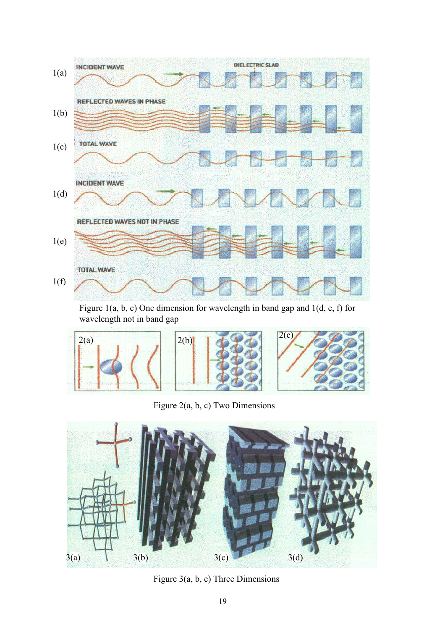

Figure 1(a, b, c) One dimension for wavelength in band gap and 1(d, e, f) for wavelength not in band gap



Figure 2(a, b, c) Two Dimensions



Figure 3(a, b, c) Three Dimensions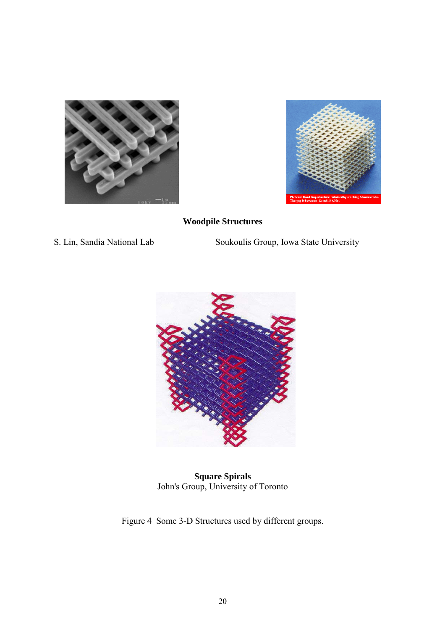



# **Woodpile Structures**

S. Lin, Sandia National Lab Soukoulis Group, Iowa State University



**Square Spirals**  John's Group, University of Toronto

Figure 4 Some 3-D Structures used by different groups.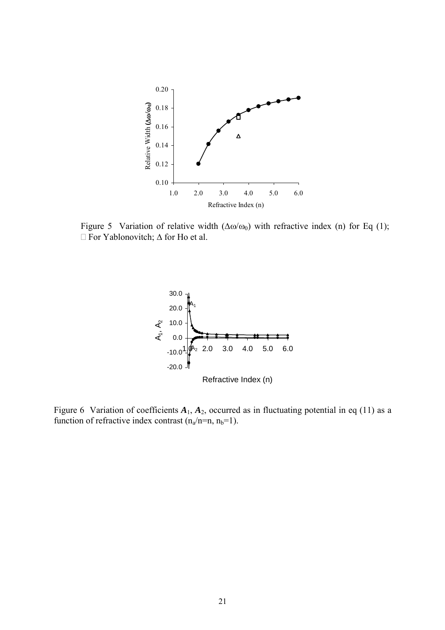

Figure 5 Variation of relative width ( $\Delta\omega/\omega_0$ ) with refractive index (n) for Eq (1); For Yablonovitch; ∆ for Ho et al.



Figure 6 Variation of coefficients  $A_1$ ,  $A_2$ , occurred as in fluctuating potential in eq (11) as a function of refractive index contrast  $(n_a/n=n, n_b=1)$ .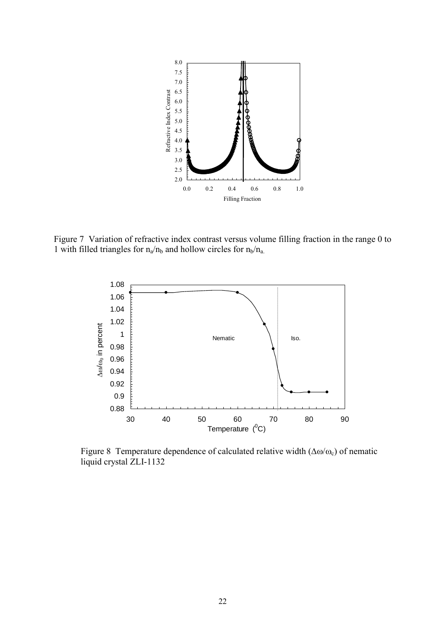

Figure 7 Variation of refractive index contrast versus volume filling fraction in the range 0 to 1 with filled triangles for  $n_a/n_b$  and hollow circles for  $n_b/n_a$ .



Figure 8 Temperature dependence of calculated relative width ( $\Delta\omega/\omega_c$ ) of nematic liquid crystal ZLI-1132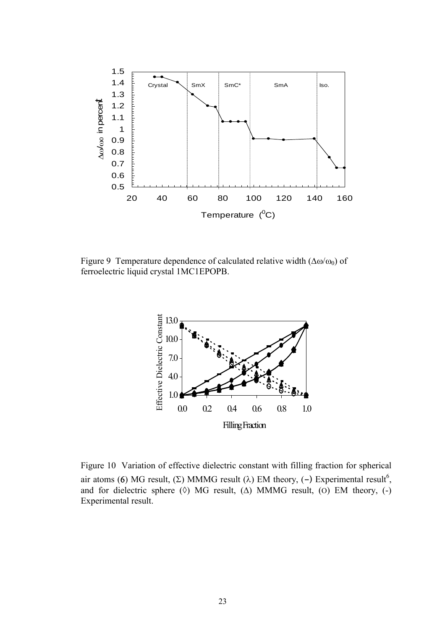

Figure 9 Temperature dependence of calculated relative width  $(\Delta \omega/\omega_0)$  of ferroelectric liquid crystal 1MC1EPOPB.



Figure 10 Variation of effective dielectric constant with filling fraction for spherical air atoms (6) MG result, (Σ) MMMG result ( $\lambda$ ) EM theory, (-) Experimental result<sup>6</sup>, and for dielectric sphere ( $\Diamond$ ) MG result, ( $\Delta$ ) MMMG result, (O) EM theory, (-) Experimental result.